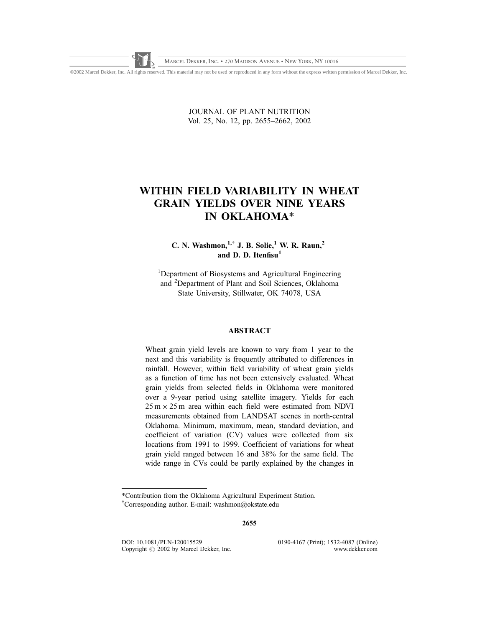©2002 Marcel Dekker, Inc. All rights reserved. This material may not be used or reproduced in any form without the express written permission of Marcel Dekker, Inc.

JOURNAL OF PLANT NUTRITION Vol. 25, No. 12, pp. 2655–2662, 2002

# WITHIN FIELD VARIABILITY IN WHEAT GRAIN YIELDS OVER NINE YEARS IN OKLAHOMA\*

## C. N. Washmon, $1, \dagger$  J. B. Solie,<sup>1</sup> W. R. Raun,<sup>2</sup> and D. D. Itenfisu $<sup>1</sup>$ </sup>

<sup>1</sup>Department of Biosystems and Agricultural Engineering and <sup>2</sup> Department of Plant and Soil Sciences, Oklahoma State University, Stillwater, OK 74078, USA

### ABSTRACT

Wheat grain yield levels are known to vary from 1 year to the next and this variability is frequently attributed to differences in rainfall. However, within field variability of wheat grain yields as a function of time has not been extensively evaluated. Wheat grain yields from selected fields in Oklahoma were monitored over a 9-year period using satellite imagery. Yields for each  $25 \text{ m} \times 25 \text{ m}$  area within each field were estimated from NDVI measurements obtained from LANDSAT scenes in north-central Oklahoma. Minimum, maximum, mean, standard deviation, and coefficient of variation (CV) values were collected from six locations from 1991 to 1999. Coefficient of variations for wheat grain yield ranged between 16 and 38% for the same field. The wide range in CVs could be partly explained by the changes in

2655

DOI: 10.1081/PLN-120015529 0190-4167 (Print); 1532-4087 (Online)<br>Copyright © 2002 by Marcel Dekker. Inc. www.dekker.com Copyright  $\odot$  2002 by Marcel Dekker, Inc.

<sup>\*</sup>Contribution from the Oklahoma Agricultural Experiment Station.

<sup>{</sup> Corresponding author. E-mail: washmon@okstate.edu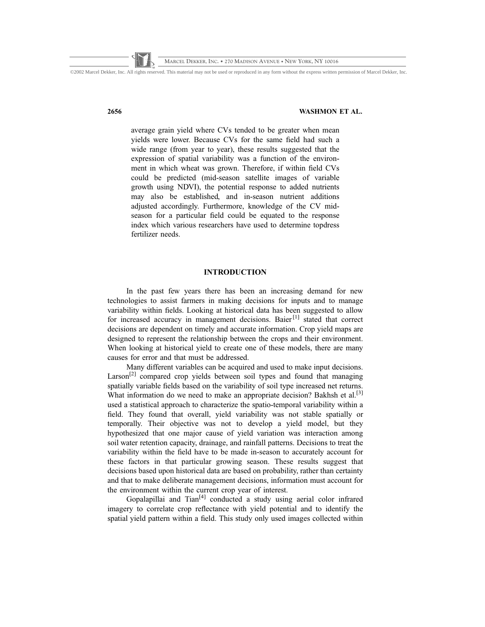©2002 Marcel Dekker, Inc. All rights reserved. This material may not be used or reproduced in any form without the express written permission of Marcel Dekker, Inc.

#### 2656 WASHMON ET AL.

average grain yield where CVs tended to be greater when mean yields were lower. Because CVs for the same field had such a wide range (from year to year), these results suggested that the expression of spatial variability was a function of the environment in which wheat was grown. Therefore, if within field CVs could be predicted (mid-season satellite images of variable growth using NDVI), the potential response to added nutrients may also be established, and in-season nutrient additions adjusted accordingly. Furthermore, knowledge of the CV midseason for a particular field could be equated to the response index which various researchers have used to determine topdress fertilizer needs.

### INTRODUCTION

In the past few years there has been an increasing demand for new technologies to assist farmers in making decisions for inputs and to manage variability within fields. Looking at historical data has been suggested to allow for increased accuracy in management decisions. Baier<sup>[1]</sup> stated that correct decisions are dependent on timely and accurate information. Crop yield maps are designed to represent the relationship between the crops and their environment. When looking at historical yield to create one of these models, there are many causes for error and that must be addressed.

Many different variables can be acquired and used to make input decisions. Larson<sup>[2]</sup> compared crop yields between soil types and found that managing spatially variable fields based on the variability of soil type increased net returns. What information do we need to make an appropriate decision? Bakhsh et al.<sup>[3]</sup> used a statistical approach to characterize the spatio-temporal variability within a field. They found that overall, yield variability was not stable spatially or temporally. Their objective was not to develop a yield model, but they hypothesized that one major cause of yield variation was interaction among soil water retention capacity, drainage, and rainfall patterns. Decisions to treat the variability within the field have to be made in-season to accurately account for these factors in that particular growing season. These results suggest that decisions based upon historical data are based on probability, rather than certainty and that to make deliberate management decisions, information must account for the environment within the current crop year of interest.

Gopalapillai and  $\text{Tian}^{[4]}$  conducted a study using aerial color infrared imagery to correlate crop reflectance with yield potential and to identify the spatial yield pattern within a field. This study only used images collected within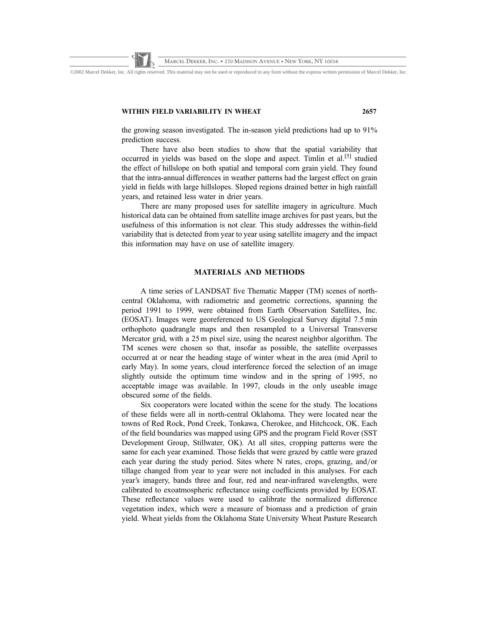©2002 Marcel Dekker, Inc. All rights reserved. This material may not be used or reproduced in any form without the express written permission of Marcel Dekker, Inc.

#### WITHIN FIELD VARIABILITY IN WHEAT 2657

the growing season investigated. The in-season yield predictions had up to 91% prediction success.

There have also been studies to show that the spatial variability that occurred in yields was based on the slope and aspect. Timlin et al.<sup>[5]</sup> studied the effect of hillslope on both spatial and temporal corn grain yield. They found that the intra-annual differences in weather patterns had the largest effect on grain yield in fields with large hillslopes. Sloped regions drained better in high rainfall years, and retained less water in drier years.

There are many proposed uses for satellite imagery in agriculture. Much historical data can be obtained from satellite image archives for past years, but the usefulness of this information is not clear. This study addresses the within-field variability that is detected from year to year using satellite imagery and the impact this information may have on use of satellite imagery.

#### MATERIALS AND METHODS

A time series of LANDSAT five Thematic Mapper (TM) scenes of northcentral Oklahoma, with radiometric and geometric corrections, spanning the period 1991 to 1999, were obtained from Earth Observation Satellites, Inc. (EOSAT). Images were georeferenced to US Geological Survey digital 7.5 min orthophoto quadrangle maps and then resampled to a Universal Transverse Mercator grid, with a 25 m pixel size, using the nearest neighbor algorithm. The TM scenes were chosen so that, insofar as possible, the satellite overpasses occurred at or near the heading stage of winter wheat in the area (mid April to early May). In some years, cloud interference forced the selection of an image slightly outside the optimum time window and in the spring of 1995, no acceptable image was available. In 1997, clouds in the only useable image obscured some of the fields.

Six cooperators were located within the scene for the study. The locations of these fields were all in north-central Oklahoma. They were located near the towns of Red Rock, Pond Creek, Tonkawa, Cherokee, and Hitchcock, OK. Each of the field boundaries was mapped using GPS and the program Field Rover (SST Development Group, Stillwater, OK). At all sites, cropping patterns were the same for each year examined. Those fields that were grazed by cattle were grazed each year during the study period. Sites where  $N$  rates, crops, grazing, and/or tillage changed from year to year were not included in this analyses. For each year's imagery, bands three and four, red and near-infrared wavelengths, were calibrated to exoatmospheric reflectance using coefficients provided by EOSAT. These reflectance values were used to calibrate the normalized difference vegetation index, which were a measure of biomass and a prediction of grain yield. Wheat yields from the Oklahoma State University Wheat Pasture Research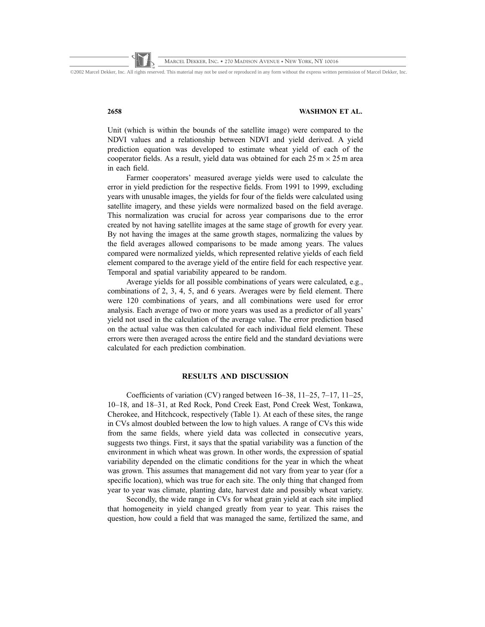©2002 Marcel Dekker, Inc. All rights reserved. This material may not be used or reproduced in any form without the express written permission of Marcel Dekker, Inc.

#### 2658 WASHMON ET AL.

Unit (which is within the bounds of the satellite image) were compared to the NDVI values and a relationship between NDVI and yield derived. A yield prediction equation was developed to estimate wheat yield of each of the cooperator fields. As a result, yield data was obtained for each  $25 \text{ m} \times 25 \text{ m}$  area in each field.

Farmer cooperators' measured average yields were used to calculate the error in yield prediction for the respective fields. From 1991 to 1999, excluding years with unusable images, the yields for four of the fields were calculated using satellite imagery, and these yields were normalized based on the field average. This normalization was crucial for across year comparisons due to the error created by not having satellite images at the same stage of growth for every year. By not having the images at the same growth stages, normalizing the values by the field averages allowed comparisons to be made among years. The values compared were normalized yields, which represented relative yields of each field element compared to the average yield of the entire field for each respective year. Temporal and spatial variability appeared to be random.

Average yields for all possible combinations of years were calculated, e.g., combinations of 2, 3, 4, 5, and 6 years. Averages were by field element. There were 120 combinations of years, and all combinations were used for error analysis. Each average of two or more years was used as a predictor of all years' yield not used in the calculation of the average value. The error prediction based on the actual value was then calculated for each individual field element. These errors were then averaged across the entire field and the standard deviations were calculated for each prediction combination.

#### RESULTS AND DISCUSSION

Coefficients of variation (CV) ranged between 16–38, 11–25, 7–17, 11–25, 10–18, and 18–31, at Red Rock, Pond Creek East, Pond Creek West, Tonkawa, Cherokee, and Hitchcock, respectively (Table 1). At each of these sites, the range in CVs almost doubled between the low to high values. A range of CVs this wide from the same fields, where yield data was collected in consecutive years, suggests two things. First, it says that the spatial variability was a function of the environment in which wheat was grown. In other words, the expression of spatial variability depended on the climatic conditions for the year in which the wheat was grown. This assumes that management did not vary from year to year (for a specific location), which was true for each site. The only thing that changed from year to year was climate, planting date, harvest date and possibly wheat variety.

Secondly, the wide range in CVs for wheat grain yield at each site implied that homogeneity in yield changed greatly from year to year. This raises the question, how could a field that was managed the same, fertilized the same, and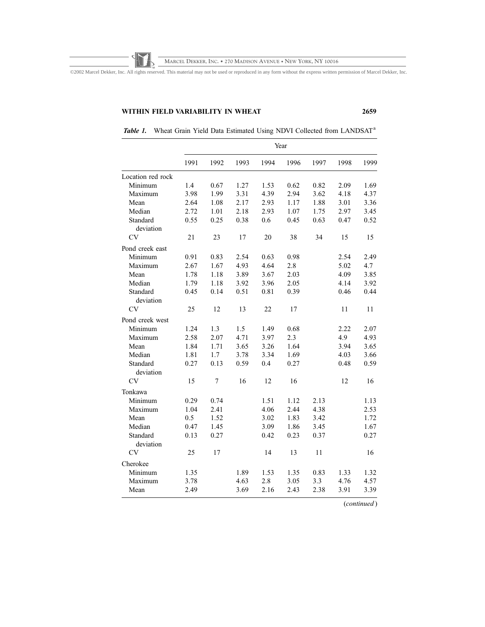©2002 Marcel Dekker, Inc. All rights reserved. This material may not be used or reproduced in any form without the express written permission of Marcel Dekker, Inc.

### WITHIN FIELD VARIABILITY IN WHEAT 2659

Table 1. Wheat Grain Yield Data Estimated Using NDVI Collected from LANDSAT<sup>a</sup>

|                       | Year |      |      |      |      |      |      |      |  |
|-----------------------|------|------|------|------|------|------|------|------|--|
|                       | 1991 | 1992 | 1993 | 1994 | 1996 | 1997 | 1998 | 1999 |  |
| Location red rock     |      |      |      |      |      |      |      |      |  |
| Minimum               | 1.4  | 0.67 | 1.27 | 1.53 | 0.62 | 0.82 | 2.09 | 1.69 |  |
| Maximum               | 3.98 | 1.99 | 3.31 | 4.39 | 2.94 | 3.62 | 4.18 | 4.37 |  |
| Mean                  | 2.64 | 1.08 | 2.17 | 2.93 | 1.17 | 1.88 | 3.01 | 3.36 |  |
| Median                | 2.72 | 1.01 | 2.18 | 2.93 | 1.07 | 1.75 | 2.97 | 3.45 |  |
| Standard<br>deviation | 0.55 | 0.25 | 0.38 | 0.6  | 0.45 | 0.63 | 0.47 | 0.52 |  |
| <b>CV</b>             | 21   | 23   | 17   | 20   | 38   | 34   | 15   | 15   |  |
| Pond creek east       |      |      |      |      |      |      |      |      |  |
| Minimum               | 0.91 | 0.83 | 2.54 | 0.63 | 0.98 |      | 2.54 | 2.49 |  |
| Maximum               | 2.67 | 1.67 | 4.93 | 4.64 | 2.8  |      | 5.02 | 4.7  |  |
| Mean                  | 1.78 | 1.18 | 3.89 | 3.67 | 2.03 |      | 4.09 | 3.85 |  |
| Median                | 1.79 | 1.18 | 3.92 | 3.96 | 2.05 |      | 4.14 | 3.92 |  |
| Standard<br>deviation | 0.45 | 0.14 | 0.51 | 0.81 | 0.39 |      | 0.46 | 0.44 |  |
| <b>CV</b>             | 25   | 12   | 13   | 22   | 17   |      | 11   | 11   |  |
| Pond creek west       |      |      |      |      |      |      |      |      |  |
| Minimum               | 1.24 | 1.3  | 1.5  | 1.49 | 0.68 |      | 2.22 | 2.07 |  |
| Maximum               | 2.58 | 2.07 | 4.71 | 3.97 | 2.3  |      | 4.9  | 4.93 |  |
| Mean                  | 1.84 | 1.71 | 3.65 | 3.26 | 1.64 |      | 3.94 | 3.65 |  |
| Median                | 1.81 | 1.7  | 3.78 | 3.34 | 1.69 |      | 4.03 | 3.66 |  |
| Standard              | 0.27 | 0.13 | 0.59 | 0.4  | 0.27 |      | 0.48 | 0.59 |  |
| deviation             |      |      |      |      |      |      |      |      |  |
| <b>CV</b>             | 15   | 7    | 16   | 12   | 16   |      | 12   | 16   |  |
| Tonkawa               |      |      |      |      |      |      |      |      |  |
| Minimum               | 0.29 | 0.74 |      | 1.51 | 1.12 | 2.13 |      | 1.13 |  |
| Maximum               | 1.04 | 2.41 |      | 4.06 | 2.44 | 4.38 |      | 2.53 |  |
| Mean                  | 0.5  | 1.52 |      | 3.02 | 1.83 | 3.42 |      | 1.72 |  |
| Median                | 0.47 | 1.45 |      | 3.09 | 1.86 | 3.45 |      | 1.67 |  |
| Standard<br>deviation | 0.13 | 0.27 |      | 0.42 | 0.23 | 0.37 |      | 0.27 |  |
| <b>CV</b>             | 25   | 17   |      | 14   | 13   | 11   |      | 16   |  |
| Cherokee              |      |      |      |      |      |      |      |      |  |
| Minimum               | 1.35 |      | 1.89 | 1.53 | 1.35 | 0.83 | 1.33 | 1.32 |  |
| Maximum               | 3.78 |      | 4.63 | 2.8  | 3.05 | 3.3  | 4.76 | 4.57 |  |
| Mean                  | 2.49 |      | 3.69 | 2.16 | 2.43 | 2.38 | 3.91 | 3.39 |  |

(continued )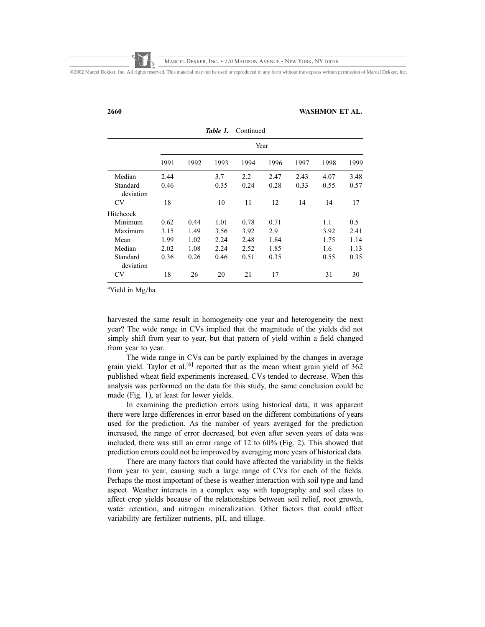©2002 Marcel Dekker, Inc. All rights reserved. This material may not be used or reproduced in any form without the express written permission of Marcel Dekker, Inc.

#### 2660 WASHMON ET AL.

|                       | Year |      |      |      |      |      |      |      |  |  |  |
|-----------------------|------|------|------|------|------|------|------|------|--|--|--|
|                       | 1991 | 1992 | 1993 | 1994 | 1996 | 1997 | 1998 | 1999 |  |  |  |
| Median                | 2.44 |      | 3.7  | 2.2  | 2.47 | 2.43 | 4.07 | 3.48 |  |  |  |
| Standard<br>deviation | 0.46 |      | 0.35 | 0.24 | 0.28 | 0.33 | 0.55 | 0.57 |  |  |  |
| CV                    | 18   |      | 10   | 11   | 12   | 14   | 14   | 17   |  |  |  |
| <b>Hitchcock</b>      |      |      |      |      |      |      |      |      |  |  |  |
| Minimum               | 0.62 | 0.44 | 1.01 | 0.78 | 0.71 |      | 1.1  | 0.5  |  |  |  |
| Maximum               | 3.15 | 1.49 | 3.56 | 3.92 | 2.9  |      | 3.92 | 2.41 |  |  |  |
| Mean                  | 1.99 | 1.02 | 2.24 | 2.48 | 1.84 |      | 1.75 | 1.14 |  |  |  |
| Median                | 2.02 | 1.08 | 2.24 | 2.52 | 1.85 |      | 1.6  | 1.13 |  |  |  |
| Standard<br>deviation | 0.36 | 0.26 | 0.46 | 0.51 | 0.35 |      | 0.55 | 0.35 |  |  |  |
| CV                    | 18   | 26   | 20   | 21   | 17   |      | 31   | 30   |  |  |  |

Table 1. Continued

<sup>a</sup>Yield in Mg/ha.

harvested the same result in homogeneity one year and heterogeneity the next year? The wide range in CVs implied that the magnitude of the yields did not simply shift from year to year, but that pattern of yield within a field changed from year to year.

The wide range in CVs can be partly explained by the changes in average grain yield. Taylor et al.<sup>[6]</sup> reported that as the mean wheat grain yield of  $362$ published wheat field experiments increased, CVs tended to decrease. When this analysis was performed on the data for this study, the same conclusion could be made (Fig. 1), at least for lower yields.

In examining the prediction errors using historical data, it was apparent there were large differences in error based on the different combinations of years used for the prediction. As the number of years averaged for the prediction increased, the range of error decreased, but even after seven years of data was included, there was still an error range of 12 to 60% (Fig. 2). This showed that prediction errors could not be improved by averaging more years of historical data.

There are many factors that could have affected the variability in the fields from year to year, causing such a large range of CVs for each of the fields. Perhaps the most important of these is weather interaction with soil type and land aspect. Weather interacts in a complex way with topography and soil class to affect crop yields because of the relationships between soil relief, root growth, water retention, and nitrogen mineralization. Other factors that could affect variability are fertilizer nutrients, pH, and tillage.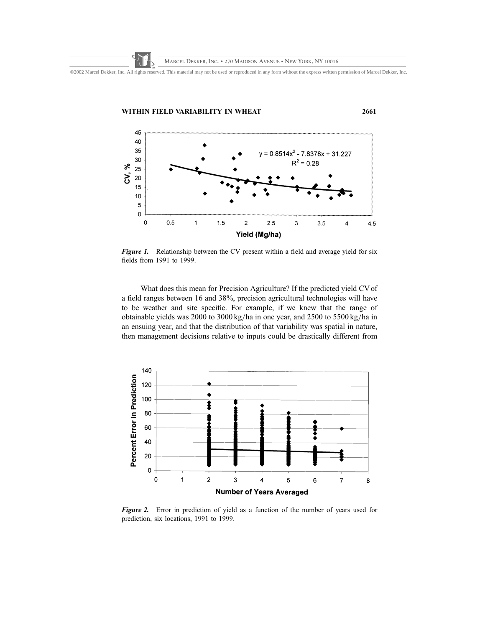©2002 Marcel Dekker, Inc. All rights reserved. This material may not be used or reproduced in any form without the express written permission of Marcel Dekker, Inc. **MARCEL DEKKER, INC. • 270 MADISON AVENUE • NEW YORK, NY 10016**



Figure 1. Relationship between the CV present within a field and average yield for six fields from 1991 to 1999.

What does this mean for Precision Agriculture? If the predicted yield CVof a field ranges between 16 and 38%, precision agricultural technologies will have to be weather and site specific. For example, if we knew that the range of obtainable yields was 2000 to 3000 kg/ha in one year, and 2500 to 5500 kg/ha in an ensuing year, and that the distribution of that variability was spatial in nature, then management decisions relative to inputs could be drastically different from



Figure 2. Error in prediction of yield as a function of the number of years used for prediction, six locations, 1991 to 1999.